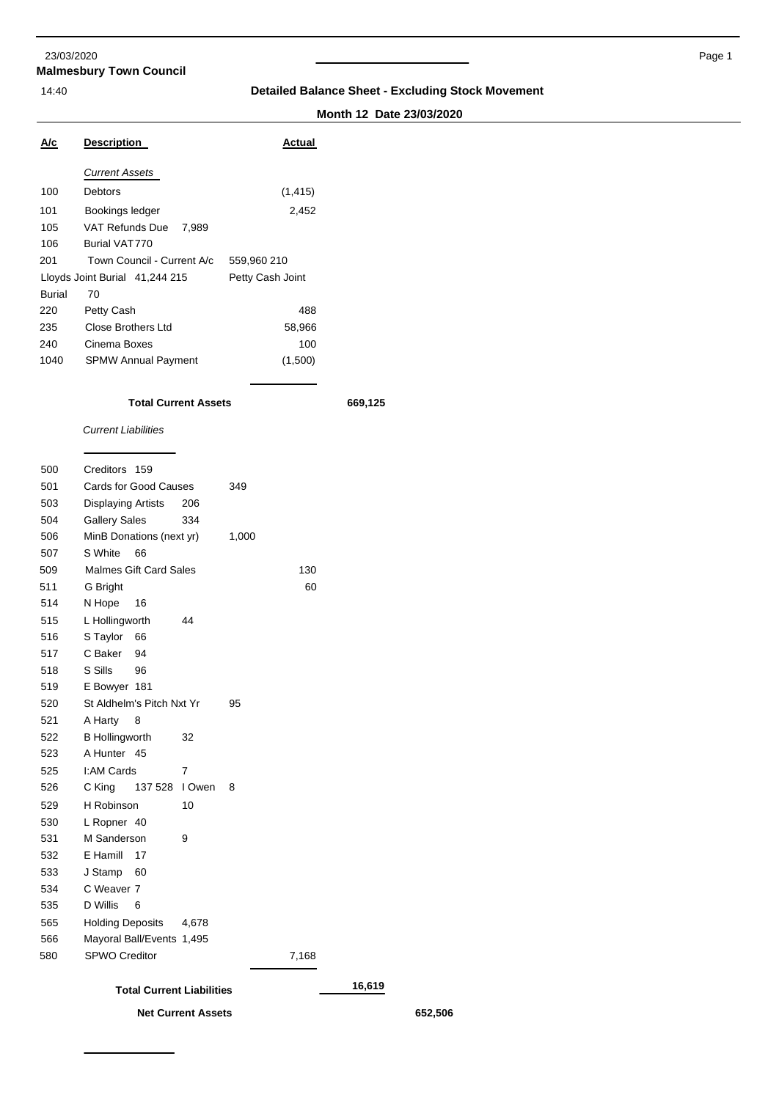### **Malmesbury Town Council** 23/03/2020 Page 1

## 14:40 **Detailed Balance Sheet - Excluding Stock Movement**

# **Month 12 Date 23/03/2020**

| A/c           | <b>Description</b>             | Actual           |
|---------------|--------------------------------|------------------|
|               | <b>Current Assets</b>          |                  |
| 100           | Debtors                        | (1, 415)         |
| 101           | Bookings ledger                | 2,452            |
| 105           | VAT Refunds Due<br>7.989       |                  |
| 106           | Burial VAT770                  |                  |
| 201           | Town Council - Current A/c     | 559,960 210      |
|               | Lloyds Joint Burial 41,244 215 | Petty Cash Joint |
| <b>Burial</b> | 70                             |                  |
| 220           | Petty Cash                     | 488              |
| 235           | Close Brothers Ltd             | 58,966           |
| 240           | Cinema Boxes                   | 100              |
| 1040          | <b>SPMW Annual Payment</b>     | (1,500)          |

### **Total Current Assets 669,125**

**Net Current Assets 652,506**

*Current Liabilities*

| 500 | Creditors 159                    |                           |       |       |        |
|-----|----------------------------------|---------------------------|-------|-------|--------|
| 501 | <b>Cards for Good Causes</b>     |                           | 349   |       |        |
| 503 | <b>Displaying Artists</b>        | 206                       |       |       |        |
| 504 | <b>Gallery Sales</b>             | 334                       |       |       |        |
| 506 | MinB Donations (next yr)         |                           | 1,000 |       |        |
| 507 | S White<br>66                    |                           |       |       |        |
| 509 | <b>Malmes Gift Card Sales</b>    |                           |       | 130   |        |
| 511 | G Bright                         |                           |       | 60    |        |
| 514 | N Hope<br>16                     |                           |       |       |        |
| 515 | L Hollingworth                   | 44                        |       |       |        |
| 516 | S Taylor<br>66                   |                           |       |       |        |
| 517 | C Baker<br>94                    |                           |       |       |        |
| 518 | S Sills<br>96                    |                           |       |       |        |
| 519 | E Bowyer 181                     |                           |       |       |        |
| 520 | St Aldhelm's Pitch Nxt Yr        | 95                        |       |       |        |
| 521 | A Harty<br>8                     |                           |       |       |        |
| 522 | <b>B</b> Hollingworth            | 32                        |       |       |        |
| 523 | A Hunter 45                      |                           |       |       |        |
| 525 | I:AM Cards                       | 7                         |       |       |        |
| 526 | C King<br>137 528                | I Owen                    | 8     |       |        |
| 529 | H Robinson                       | 10                        |       |       |        |
| 530 | L Ropner 40                      |                           |       |       |        |
| 531 | M Sanderson                      | 9                         |       |       |        |
| 532 | E Hamill<br>17                   |                           |       |       |        |
| 533 | J Stamp<br>60                    |                           |       |       |        |
| 534 | C Weaver 7                       |                           |       |       |        |
| 535 | D Willis<br>6                    |                           |       |       |        |
| 565 | <b>Holding Deposits</b>          | 4,678                     |       |       |        |
| 566 | Mayoral Ball/Events 1,495        |                           |       |       |        |
| 580 | <b>SPWO Creditor</b>             |                           |       | 7,168 |        |
|     | <b>Total Current Liabilities</b> |                           |       |       | 16,619 |
|     |                                  | <b>Net Current Assets</b> |       |       |        |
|     |                                  |                           |       |       |        |